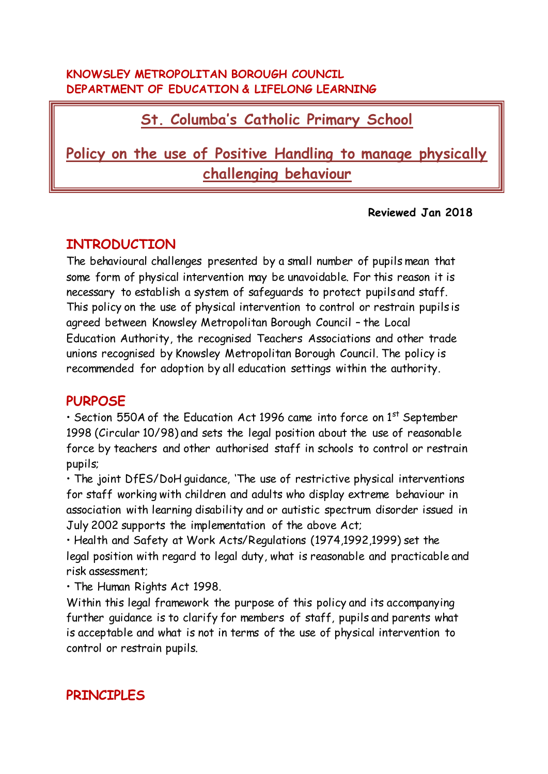#### **KNOWSLEY METROPOLITAN BOROUGH COUNCIL DEPARTMENT OF EDUCATION & LIFELONG LEARNING**

# **St. Columba's Catholic Primary School**

# **Policy on the use of Positive Handling to manage physically challenging behaviour**

#### **Reviewed Jan 2018**

# **INTRODUCTION**

The behavioural challenges presented by a small number of pupils mean that some form of physical intervention may be unavoidable. For this reason it is necessary to establish a system of safeguards to protect pupils and staff. This policy on the use of physical intervention to control or restrain pupils is agreed between Knowsley Metropolitan Borough Council – the Local Education Authority, the recognised Teachers Associations and other trade unions recognised by Knowsley Metropolitan Borough Council. The policy is recommended for adoption by all education settings within the authority.

### **PURPOSE**

• Section 550A of the Education Act 1996 came into force on  $1<sup>st</sup>$  September 1998 (Circular 10/98) and sets the legal position about the use of reasonable force by teachers and other authorised staff in schools to control or restrain pupils;

• The joint DfES/DoH guidance, 'The use of restrictive physical interventions for staff working with children and adults who display extreme behaviour in association with learning disability and or autistic spectrum disorder issued in July 2002 supports the implementation of the above Act;

• Health and Safety at Work Acts/Regulations (1974,1992,1999) set the legal position with regard to legal duty, what is reasonable and practicable and risk assessment;

• The Human Rights Act 1998.

Within this legal framework the purpose of this policy and its accompanying further guidance is to clarify for members of staff, pupils and parents what is acceptable and what is not in terms of the use of physical intervention to control or restrain pupils.

# **PRINCIPLES**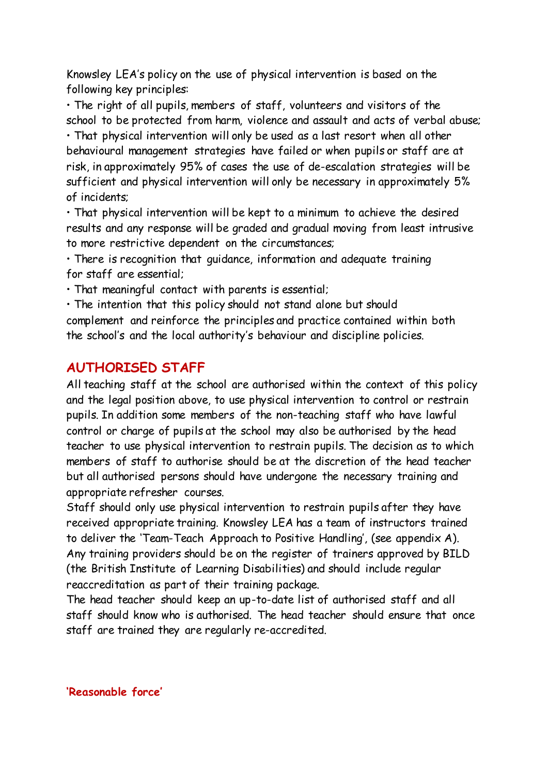Knowsley LEA's policy on the use of physical intervention is based on the following key principles:

• The right of all pupils, members of staff, volunteers and visitors of the school to be protected from harm, violence and assault and acts of verbal abuse; • That physical intervention will only be used as a last resort when all other behavioural management strategies have failed or when pupils or staff are at risk, in approximately 95% of cases the use of de-escalation strategies will be sufficient and physical intervention will only be necessary in approximately 5% of incidents;

• That physical intervention will be kept to a minimum to achieve the desired results and any response will be graded and gradual moving from least intrusive to more restrictive dependent on the circumstances;

• There is recognition that guidance, information and adequate training for staff are essential;

• That meaningful contact with parents is essential;

• The intention that this policy should not stand alone but should complement and reinforce the principles and practice contained within both the school's and the local authority's behaviour and discipline policies.

## **AUTHORISED STAFF**

All teaching staff at the school are authorised within the context of this policy and the legal position above, to use physical intervention to control or restrain pupils. In addition some members of the non-teaching staff who have lawful control or charge of pupils at the school may also be authorised by the head teacher to use physical intervention to restrain pupils. The decision as to which members of staff to authorise should be at the discretion of the head teacher but all authorised persons should have undergone the necessary training and appropriate refresher courses.

Staff should only use physical intervention to restrain pupils after they have received appropriate training. Knowsley LEA has a team of instructors trained to deliver the 'Team-Teach Approach to Positive Handling', (see appendix A). Any training providers should be on the register of trainers approved by BILD (the British Institute of Learning Disabilities) and should include regular reaccreditation as part of their training package.

The head teacher should keep an up-to-date list of authorised staff and all staff should know who is authorised. The head teacher should ensure that once staff are trained they are regularly re-accredited.

**'Reasonable force'**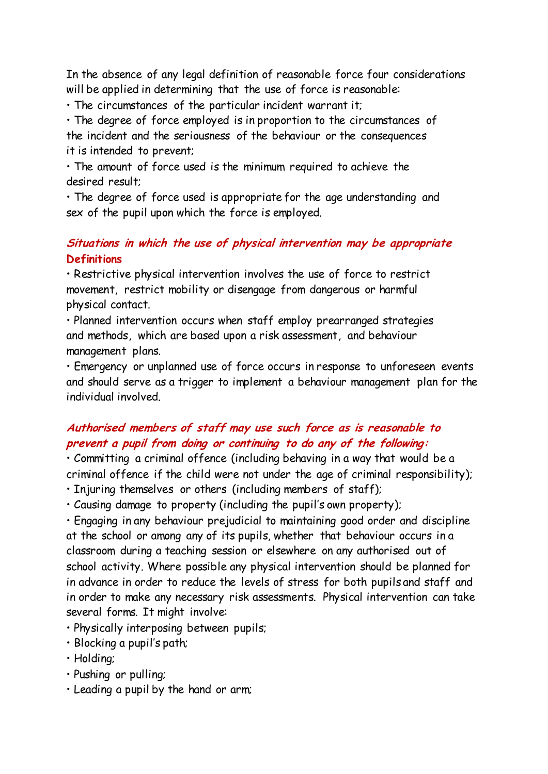In the absence of any legal definition of reasonable force four considerations will be applied in determining that the use of force is reasonable:

• The circumstances of the particular incident warrant it;

• The degree of force employed is in proportion to the circumstances of the incident and the seriousness of the behaviour or the consequences it is intended to prevent;

• The amount of force used is the minimum required to achieve the desired result;

• The degree of force used is appropriate for the age understanding and sex of the pupil upon which the force is employed.

#### **Situations in which the use of physical intervention may be appropriate Definitions**

• Restrictive physical intervention involves the use of force to restrict movement, restrict mobility or disengage from dangerous or harmful physical contact.

• Planned intervention occurs when staff employ prearranged strategies and methods, which are based upon a risk assessment, and behaviour management plans.

• Emergency or unplanned use of force occurs in response to unforeseen events and should serve as a trigger to implement a behaviour management plan for the individual involved.

#### **Authorised members of staff may use such force as is reasonable to prevent a pupil from doing or continuing to do any of the following:**

• Committing a criminal offence (including behaving in a way that would be a criminal offence if the child were not under the age of criminal responsibility);

• Injuring themselves or others (including members of staff);

• Causing damage to property (including the pupil's own property);

• Engaging in any behaviour prejudicial to maintaining good order and discipline at the school or among any of its pupils, whether that behaviour occurs in a classroom during a teaching session or elsewhere on any authorised out of school activity. Where possible any physical intervention should be planned for in advance in order to reduce the levels of stress for both pupils and staff and in order to make any necessary risk assessments. Physical intervention can take several forms. It might involve:

- Physically interposing between pupils;
- Blocking a pupil's path;
- Holding;
- Pushing or pulling;
- Leading a pupil by the hand or arm;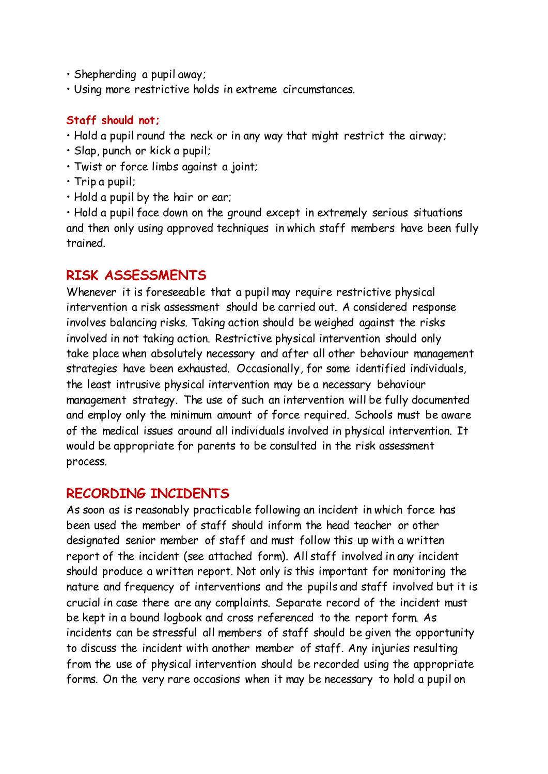- Shepherding a pupil away;
- Using more restrictive holds in extreme circumstances.

#### **Staff should not;**

- Hold a pupil round the neck or in any way that might restrict the airway;
- Slap, punch or kick a pupil;
- Twist or force limbs against a joint;
- Trip a pupil;
- Hold a pupil by the hair or ear;

• Hold a pupil face down on the ground except in extremely serious situations and then only using approved techniques in which staff members have been fully trained.

#### **RISK ASSESSMENTS**

Whenever it is foreseeable that a pupil may require restrictive physical intervention a risk assessment should be carried out. A considered response involves balancing risks. Taking action should be weighed against the risks involved in not taking action. Restrictive physical intervention should only take place when absolutely necessary and after all other behaviour management strategies have been exhausted. Occasionally, for some identified individuals, the least intrusive physical intervention may be a necessary behaviour management strategy. The use of such an intervention will be fully documented and employ only the minimum amount of force required. Schools must be aware of the medical issues around all individuals involved in physical intervention. It would be appropriate for parents to be consulted in the risk assessment process.

#### **RECORDING INCIDENTS**

As soon as is reasonably practicable following an incident in which force has been used the member of staff should inform the head teacher or other designated senior member of staff and must follow this up with a written report of the incident (see attached form). All staff involved in any incident should produce a written report. Not only is this important for monitoring the nature and frequency of interventions and the pupils and staff involved but it is crucial in case there are any complaints. Separate record of the incident must be kept in a bound logbook and cross referenced to the report form. As incidents can be stressful all members of staff should be given the opportunity to discuss the incident with another member of staff. Any injuries resulting from the use of physical intervention should be recorded using the appropriate forms. On the very rare occasions when it may be necessary to hold a pupil on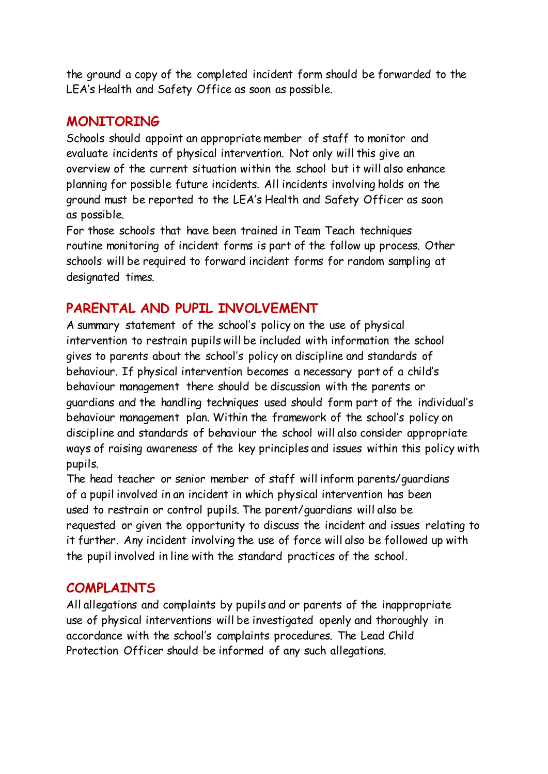the ground a copy of the completed incident form should be forwarded to the LEA's Health and Safety Office as soon as possible.

#### **MONITORING**

Schools should appoint an appropriate member of staff to monitor and evaluate incidents of physical intervention. Not only will this give an overview of the current situation within the school but it will also enhance planning for possible future incidents. All incidents involving holds on the ground must be reported to the LEA's Health and Safety Officer as soon as possible.

For those schools that have been trained in Team Teach techniques routine monitoring of incident forms is part of the follow up process. Other schools will be required to forward incident forms for random sampling at designated times.

### **PARENTAL AND PUPIL INVOLVEMENT**

A summary statement of the school's policy on the use of physical intervention to restrain pupils will be included with information the school gives to parents about the school's policy on discipline and standards of behaviour. If physical intervention becomes a necessary part of a child's behaviour management there should be discussion with the parents or guardians and the handling techniques used should form part of the individual's behaviour management plan. Within the framework of the school's policy on discipline and standards of behaviour the school will also consider appropriate ways of raising awareness of the key principles and issues within this policy with pupils.

The head teacher or senior member of staff will inform parents/guardians of a pupil involved in an incident in which physical intervention has been used to restrain or control pupils. The parent/guardians will also be requested or given the opportunity to discuss the incident and issues relating to it further. Any incident involving the use of force will also be followed up with the pupil involved in line with the standard practices of the school.

### **COMPLAINTS**

All allegations and complaints by pupils and or parents of the inappropriate use of physical interventions will be investigated openly and thoroughly in accordance with the school's complaints procedures. The Lead Child Protection Officer should be informed of any such allegations.